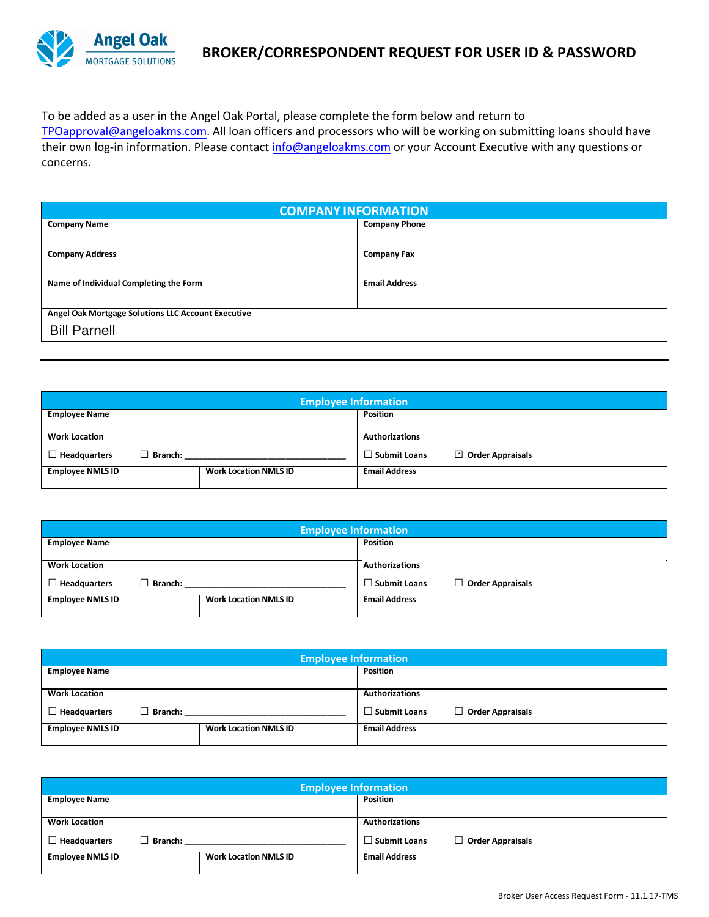

To be added as a user in the Angel Oak Portal, please complete the form below and return to TPOapproval@angeloakms.com. All loan officers and processors who will be working on submitting loans should have their own log-in information. Please contact info@angeloakms.com or your Account Executive with any questions or concerns.

| <b>COMPANY INFORMATION</b>                         |                      |  |  |  |
|----------------------------------------------------|----------------------|--|--|--|
| <b>Company Name</b>                                | <b>Company Phone</b> |  |  |  |
|                                                    |                      |  |  |  |
| <b>Company Address</b>                             | <b>Company Fax</b>   |  |  |  |
|                                                    |                      |  |  |  |
| Name of Individual Completing the Form             | <b>Email Address</b> |  |  |  |
|                                                    |                      |  |  |  |
| Angel Oak Mortgage Solutions LLC Account Executive |                      |  |  |  |
| <b>Bill Parnell</b>                                |                      |  |  |  |
|                                                    |                      |  |  |  |

| <b>Employee Information</b> |                              |                       |                         |  |
|-----------------------------|------------------------------|-----------------------|-------------------------|--|
| <b>Employee Name</b>        |                              | <b>Position</b>       |                         |  |
|                             |                              |                       |                         |  |
| <b>Work Location</b>        |                              | <b>Authorizations</b> |                         |  |
| Branch:<br>Headquarters     |                              | $\Box$ Submit Loans   | $\Box$ Order Appraisals |  |
| <b>Employee NMLS ID</b>     | <b>Work Location NMLS ID</b> | <b>Email Address</b>  |                         |  |
|                             |                              |                       |                         |  |

| <b>Employee Information</b> |                |                              |                       |                         |
|-----------------------------|----------------|------------------------------|-----------------------|-------------------------|
| <b>Employee Name</b>        |                |                              | Position              |                         |
|                             |                |                              |                       |                         |
| <b>Work Location</b>        |                |                              | <b>Authorizations</b> |                         |
| <b>Headquarters</b>         | $\Box$ Branch: |                              | $\Box$ Submit Loans   | $\Box$ Order Appraisals |
| <b>Employee NMLS ID</b>     |                | <b>Work Location NMLS ID</b> | <b>Email Address</b>  |                         |
|                             |                |                              |                       |                         |

| <b>Employee Information</b> |         |                              |                       |                         |
|-----------------------------|---------|------------------------------|-----------------------|-------------------------|
| <b>Employee Name</b>        |         |                              | <b>Position</b>       |                         |
|                             |         |                              |                       |                         |
| <b>Work Location</b>        |         |                              | <b>Authorizations</b> |                         |
| $\Box$ Headquarters         | Branch: |                              | $\Box$ Submit Loans   | $\Box$ Order Appraisals |
| <b>Employee NMLS ID</b>     |         | <b>Work Location NMLS ID</b> | <b>Email Address</b>  |                         |
|                             |         |                              |                       |                         |

| <b>Employee Information</b>           |                              |                                         |  |  |
|---------------------------------------|------------------------------|-----------------------------------------|--|--|
| <b>Employee Name</b>                  |                              | <b>Position</b>                         |  |  |
| <b>Work Location</b>                  |                              | <b>Authorizations</b>                   |  |  |
|                                       |                              |                                         |  |  |
| $\Box$ Headquarters<br><b>Branch:</b> |                              | Order Appraisals<br>$\Box$ Submit Loans |  |  |
| <b>Employee NMLS ID</b>               | <b>Work Location NMLS ID</b> | <b>Email Address</b>                    |  |  |
|                                       |                              |                                         |  |  |